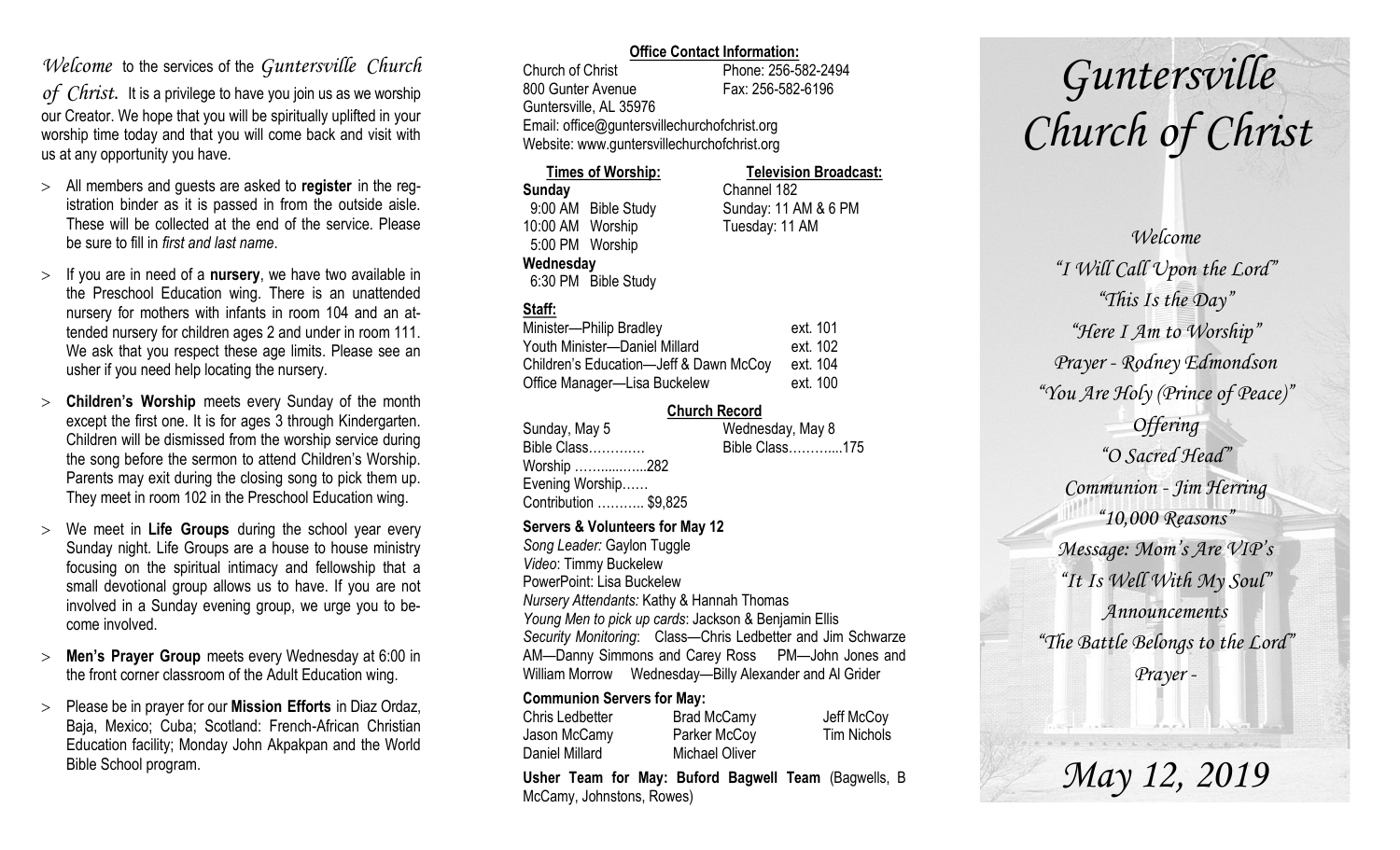### *Welcome* to the services of the *Guntersville Church*

*of Christ*. It is a privilege to have you join us as we worship our Creator. We hope that you will be spiritually uplifted in your worship time today and that you will come back and visit with us at any opportunity you have.

- All members and guests are asked to **register** in the registration binder as it is passed in from the outside aisle. These will be collected at the end of the service. Please be sure to fill in *first and last name*.
- $>$  If you are in need of a **nursery**, we have two available in the Preschool Education wing. There is an unattended nursery for mothers with infants in room 104 and an attended nursery for children ages 2 and under in room 111. We ask that you respect these age limits. Please see an usher if you need help locating the nursery.
- **Children's Worship** meets every Sunday of the month except the first one. It is for ages 3 through Kindergarten. Children will be dismissed from the worship service during the song before the sermon to attend Children's Worship. Parents may exit during the closing song to pick them up. They meet in room 102 in the Preschool Education wing.
- We meet in **Life Groups** during the school year every Sunday night. Life Groups are a house to house ministry focusing on the spiritual intimacy and fellowship that a small devotional group allows us to have. If you are not involved in a Sunday evening group, we urge you to become involved.
- **Men's Prayer Group** meets every Wednesday at 6:00 in the front corner classroom of the Adult Education wing.
- Please be in prayer for our **Mission Efforts** in Diaz Ordaz, Baja, Mexico; Cuba; Scotland: French-African Christian Education facility; Monday John Akpakpan and the World Bible School program.

### **Office Contact Information:**

Church of Christ Phone: 256-582-2494 800 Gunter Avenue Fax: 256-582-6196 Guntersville, AL 35976 Email: office@guntersvillechurchofchrist.org Website: www.guntersvillechurchofchrist.org

| <b>Times of Worship:</b> |                     | <b>Television Broadcast:</b> |  |
|--------------------------|---------------------|------------------------------|--|
| Sunday                   |                     | Channel 182                  |  |
|                          | 9:00 AM Bible Study | Sunday: 11 AM & 6 PM         |  |
| 10:00 AM Worship         |                     | Tuesday: 11 AM               |  |
| 5:00 PM Worship          |                     |                              |  |
| Wednesday                |                     |                              |  |
|                          | 6:30 PM Bible Study |                              |  |

### **Staff:**

| Minister-Philip Bradley                | ext. 101 |
|----------------------------------------|----------|
| Youth Minister-Daniel Millard          | ext. 102 |
| Children's Education-Jeff & Dawn McCoy | ext. 104 |
| Office Manager-Lisa Buckelew           | ext. 100 |

### **Church Record**

| Sunday, May 5         | Wednesday, May 8 |  |
|-----------------------|------------------|--|
| Bible Class           | Bible Class175   |  |
| Worship 282           |                  |  |
| Evening Worship       |                  |  |
| Contribution  \$9,825 |                  |  |
|                       |                  |  |

#### **Servers & Volunteers for May 12**

*Song Leader:* Gaylon Tuggle *Video*: Timmy Buckelew PowerPoint: Lisa Buckelew *Nursery Attendants:* Kathy & Hannah Thomas *Young Men to pick up cards*: Jackson & Benjamin Ellis *Security Monitoring*: Class—Chris Ledbetter and Jim Schwarze AM—Danny Simmons and Carey Ross PM—John Jones and William Morrow Wednesday—Billy Alexander and Al Grider

### **Communion Servers for May:**

| Chris Ledbetter | <b>Brad McCamy</b> | Jeff McCoy         |
|-----------------|--------------------|--------------------|
| Jason McCamy    | Parker McCoy       | <b>Tim Nichols</b> |
| Daniel Millard  | Michael Oliver     |                    |

**Usher Team for May: Buford Bagwell Team** (Bagwells, B McCamy, Johnstons, Rowes)

# *Guntersville Church of Christ*

*Welcome "I Will Call Upon the Lord" "This Is the Day" "Here I Am to Worship" Prayer - Rodney Edmondson "You Are Holy (Prince of Peace)" Offering "O Sacred Head" Communion - Jim Herring "10,000 Reasons" Message: Mom's Are VIP's "It Is Well With My Soul" Announcements "The Battle Belongs to the Lord" Prayer -*

*May 12, 2019*